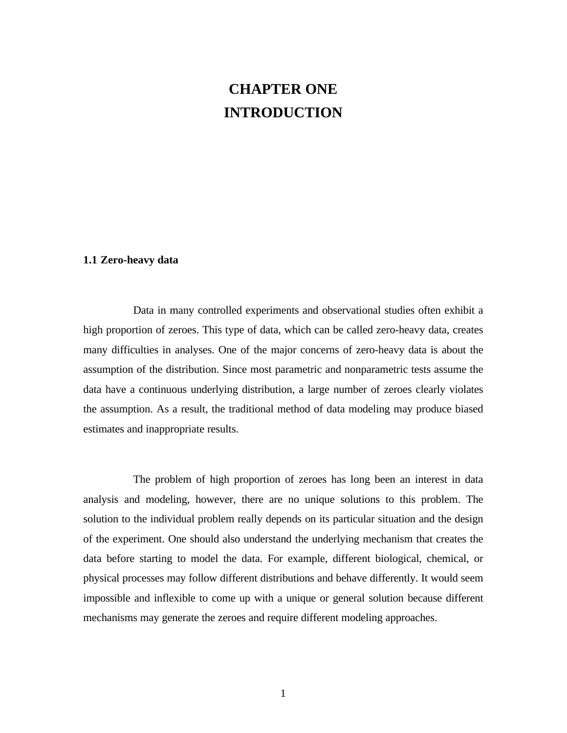## **CHAPTER ONE INTRODUCTION**

## **1.1 Zero-heavy data**

Data in many controlled experiments and observational studies often exhibit a high proportion of zeroes. This type of data, which can be called zero-heavy data, creates many difficulties in analyses. One of the major concerns of zero-heavy data is about the assumption of the distribution. Since most parametric and nonparametric tests assume the data have a continuous underlying distribution, a large number of zeroes clearly violates the assumption. As a result, the traditional method of data modeling may produce biased estimates and inappropriate results.

The problem of high proportion of zeroes has long been an interest in data analysis and modeling, however, there are no unique solutions to this problem. The solution to the individual problem really depends on its particular situation and the design of the experiment. One should also understand the underlying mechanism that creates the data before starting to model the data. For example, different biological, chemical, or physical processes may follow different distributions and behave differently. It would seem impossible and inflexible to come up with a unique or general solution because different mechanisms may generate the zeroes and require different modeling approaches.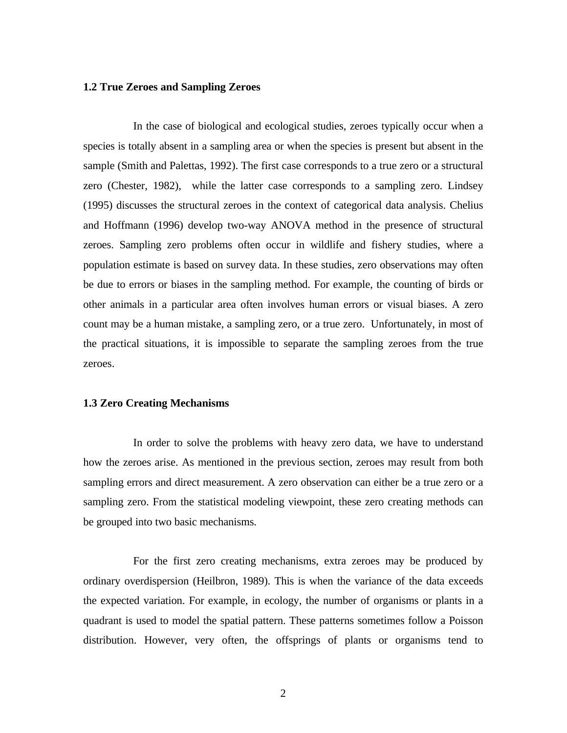## **1.2 True Zeroes and Sampling Zeroes**

In the case of biological and ecological studies, zeroes typically occur when a species is totally absent in a sampling area or when the species is present but absent in the sample (Smith and Palettas, 1992). The first case corresponds to a true zero or a structural zero (Chester, 1982), while the latter case corresponds to a sampling zero. Lindsey (1995) discusses the structural zeroes in the context of categorical data analysis. Chelius and Hoffmann (1996) develop two-way ANOVA method in the presence of structural zeroes. Sampling zero problems often occur in wildlife and fishery studies, where a population estimate is based on survey data. In these studies, zero observations may often be due to errors or biases in the sampling method. For example, the counting of birds or other animals in a particular area often involves human errors or visual biases. A zero count may be a human mistake, a sampling zero, or a true zero. Unfortunately, in most of the practical situations, it is impossible to separate the sampling zeroes from the true zeroes.

## **1.3 Zero Creating Mechanisms**

In order to solve the problems with heavy zero data, we have to understand how the zeroes arise. As mentioned in the previous section, zeroes may result from both sampling errors and direct measurement. A zero observation can either be a true zero or a sampling zero. From the statistical modeling viewpoint, these zero creating methods can be grouped into two basic mechanisms.

For the first zero creating mechanisms, extra zeroes may be produced by ordinary overdispersion (Heilbron, 1989). This is when the variance of the data exceeds the expected variation. For example, in ecology, the number of organisms or plants in a quadrant is used to model the spatial pattern. These patterns sometimes follow a Poisson distribution. However, very often, the offsprings of plants or organisms tend to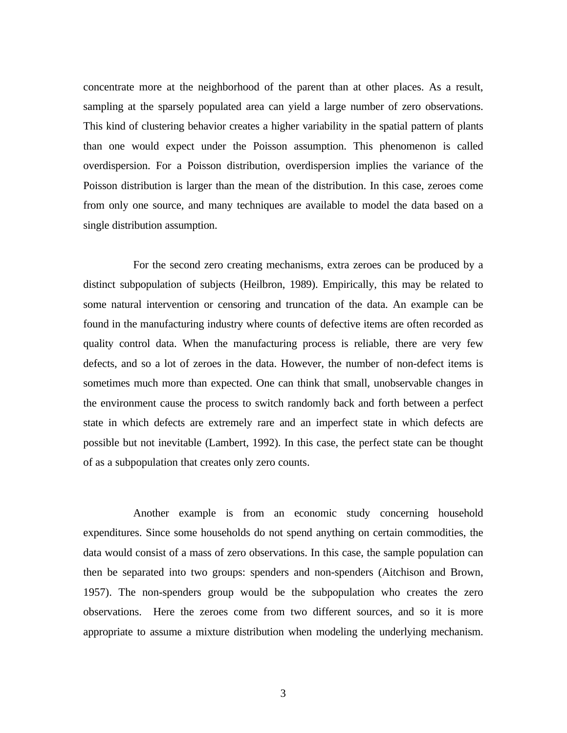concentrate more at the neighborhood of the parent than at other places. As a result, sampling at the sparsely populated area can yield a large number of zero observations. This kind of clustering behavior creates a higher variability in the spatial pattern of plants than one would expect under the Poisson assumption. This phenomenon is called overdispersion. For a Poisson distribution, overdispersion implies the variance of the Poisson distribution is larger than the mean of the distribution. In this case, zeroes come from only one source, and many techniques are available to model the data based on a single distribution assumption.

For the second zero creating mechanisms, extra zeroes can be produced by a distinct subpopulation of subjects (Heilbron, 1989). Empirically, this may be related to some natural intervention or censoring and truncation of the data. An example can be found in the manufacturing industry where counts of defective items are often recorded as quality control data. When the manufacturing process is reliable, there are very few defects, and so a lot of zeroes in the data. However, the number of non-defect items is sometimes much more than expected. One can think that small, unobservable changes in the environment cause the process to switch randomly back and forth between a perfect state in which defects are extremely rare and an imperfect state in which defects are possible but not inevitable (Lambert, 1992). In this case, the perfect state can be thought of as a subpopulation that creates only zero counts.

Another example is from an economic study concerning household expenditures. Since some households do not spend anything on certain commodities, the data would consist of a mass of zero observations. In this case, the sample population can then be separated into two groups: spenders and non-spenders (Aitchison and Brown, 1957). The non-spenders group would be the subpopulation who creates the zero observations. Here the zeroes come from two different sources, and so it is more appropriate to assume a mixture distribution when modeling the underlying mechanism.